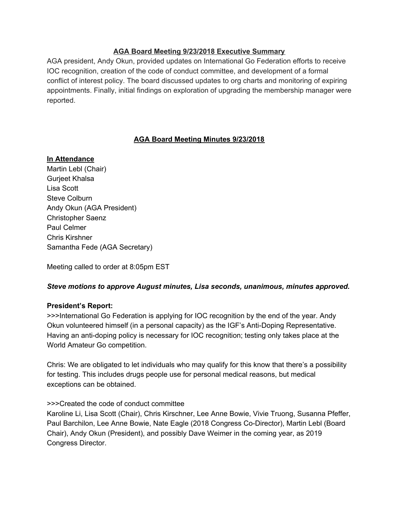## **AGA Board Meeting 9/23/2018 Executive Summary**

AGA president, Andy Okun, provided updates on International Go Federation efforts to receive IOC recognition, creation of the code of conduct committee, and development of a formal conflict of interest policy. The board discussed updates to org charts and monitoring of expiring appointments. Finally, initial findings on exploration of upgrading the membership manager were reported.

# **AGA Board Meeting Minutes 9/23/2018**

## **In Attendance**

Martin Lebl (Chair) Gurjeet Khalsa Lisa Scott Steve Colburn Andy Okun (AGA President) Christopher Saenz Paul Celmer Chris Kirshner Samantha Fede (AGA Secretary)

Meeting called to order at 8:05pm EST

## *Steve motions to approve August minutes, Lisa seconds, unanimous, minutes approved.*

#### **President's Report:**

>>>International Go Federation is applying for IOC recognition by the end of the year. Andy Okun volunteered himself (in a personal capacity) as the IGF's Anti-Doping Representative. Having an anti-doping policy is necessary for IOC recognition; testing only takes place at the World Amateur Go competition.

Chris: We are obligated to let individuals who may qualify for this know that there's a possibility for testing. This includes drugs people use for personal medical reasons, but medical exceptions can be obtained.

#### >>>Created the code of conduct committee

Karoline Li, Lisa Scott (Chair), Chris Kirschner, Lee Anne Bowie, Vivie Truong, Susanna Pfeffer, Paul Barchilon, Lee Anne Bowie, Nate Eagle (2018 Congress Co-Director), Martin Lebl (Board Chair), Andy Okun (President), and possibly Dave Weimer in the coming year, as 2019 Congress Director.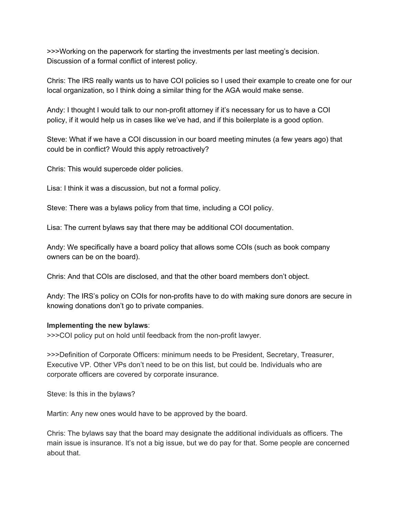>>>Working on the paperwork for starting the investments per last meeting's decision. Discussion of a formal conflict of interest policy.

Chris: The IRS really wants us to have COI policies so I used their example to create one for our local organization, so I think doing a similar thing for the AGA would make sense.

Andy: I thought I would talk to our non-profit attorney if it's necessary for us to have a COI policy, if it would help us in cases like we've had, and if this boilerplate is a good option.

Steve: What if we have a COI discussion in our board meeting minutes (a few years ago) that could be in conflict? Would this apply retroactively?

Chris: This would supercede older policies.

Lisa: I think it was a discussion, but not a formal policy.

Steve: There was a bylaws policy from that time, including a COI policy.

Lisa: The current bylaws say that there may be additional COI documentation.

Andy: We specifically have a board policy that allows some COIs (such as book company owners can be on the board).

Chris: And that COIs are disclosed, and that the other board members don't object.

Andy: The IRS's policy on COIs for non-profits have to do with making sure donors are secure in knowing donations don't go to private companies.

#### **Implementing the new bylaws**:

>>>COI policy put on hold until feedback from the non-profit lawyer.

>>>Definition of Corporate Officers: minimum needs to be President, Secretary, Treasurer, Executive VP. Other VPs don't need to be on this list, but could be. Individuals who are corporate officers are covered by corporate insurance.

Steve: Is this in the bylaws?

Martin: Any new ones would have to be approved by the board.

Chris: The bylaws say that the board may designate the additional individuals as officers. The main issue is insurance. It's not a big issue, but we do pay for that. Some people are concerned about that.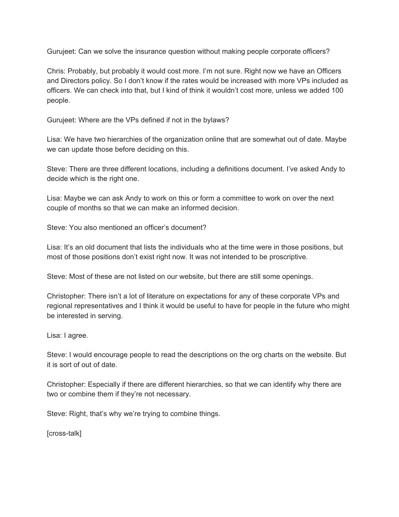Gurujeet: Can we solve the insurance question without making people corporate officers?

Chris: Probably, but probably it would cost more. I'm not sure. Right now we have an Officers and Directors policy. So I don't know if the rates would be increased with more VPs included as officers. We can check into that, but I kind of think it wouldn't cost more, unless we added 100 people.

Gurujeet: Where are the VPs defined if not in the bylaws?

Lisa: We have two hierarchies of the organization online that are somewhat out of date. Maybe we can update those before deciding on this.

Steve: There are three different locations, including a definitions document. I've asked Andy to decide which is the right one.

Lisa: Maybe we can ask Andy to work on this or form a committee to work on over the next couple of months so that we can make an informed decision.

Steve: You also mentioned an officer's document?

Lisa: It's an old document that lists the individuals who at the time were in those positions, but most of those positions don't exist right now. It was not intended to be proscriptive.

Steve: Most of these are not listed on our website, but there are still some openings.

Christopher: There isn't a lot of literature on expectations for any of these corporate VPs and regional representatives and I think it would be useful to have for people in the future who might be interested in serving.

Lisa: I agree.

Steve: I would encourage people to read the descriptions on the org charts on the website. But it is sort of out of date.

Christopher: Especially if there are different hierarchies, so that we can identify why there are two or combine them if they're not necessary.

Steve: Right, that's why we're trying to combine things.

[cross-talk]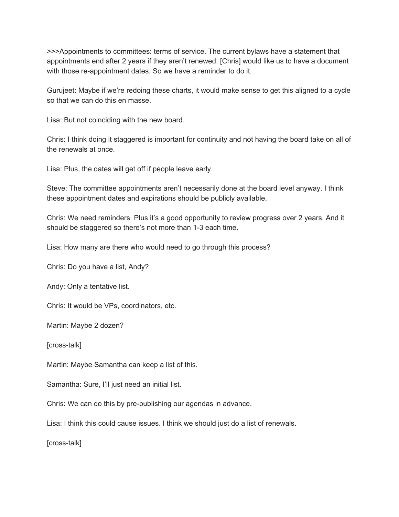>>>Appointments to committees: terms of service. The current bylaws have a statement that appointments end after 2 years if they aren't renewed. [Chris] would like us to have a document with those re-appointment dates. So we have a reminder to do it.

Gurujeet: Maybe if we're redoing these charts, it would make sense to get this aligned to a cycle so that we can do this en masse.

Lisa: But not coinciding with the new board.

Chris: I think doing it staggered is important for continuity and not having the board take on all of the renewals at once.

Lisa: Plus, the dates will get off if people leave early.

Steve: The committee appointments aren't necessarily done at the board level anyway. I think these appointment dates and expirations should be publicly available.

Chris: We need reminders. Plus it's a good opportunity to review progress over 2 years. And it should be staggered so there's not more than 1-3 each time.

Lisa: How many are there who would need to go through this process?

Chris: Do you have a list, Andy?

Andy: Only a tentative list.

Chris: It would be VPs, coordinators, etc.

Martin: Maybe 2 dozen?

[cross-talk]

Martin: Maybe Samantha can keep a list of this.

Samantha: Sure, I'll just need an initial list.

Chris: We can do this by pre-publishing our agendas in advance.

Lisa: I think this could cause issues. I think we should just do a list of renewals.

[cross-talk]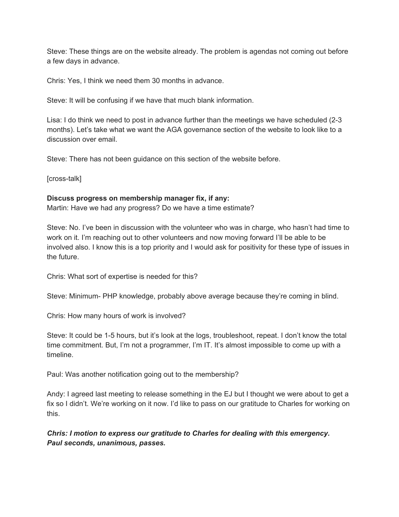Steve: These things are on the website already. The problem is agendas not coming out before a few days in advance.

Chris: Yes, I think we need them 30 months in advance.

Steve: It will be confusing if we have that much blank information.

Lisa: I do think we need to post in advance further than the meetings we have scheduled (2-3 months). Let's take what we want the AGA governance section of the website to look like to a discussion over email.

Steve: There has not been guidance on this section of the website before.

[cross-talk]

### **Discuss progress on membership manager fix, if any:**

Martin: Have we had any progress? Do we have a time estimate?

Steve: No. I've been in discussion with the volunteer who was in charge, who hasn't had time to work on it. I'm reaching out to other volunteers and now moving forward I'll be able to be involved also. I know this is a top priority and I would ask for positivity for these type of issues in the future.

Chris: What sort of expertise is needed for this?

Steve: Minimum- PHP knowledge, probably above average because they're coming in blind.

Chris: How many hours of work is involved?

Steve: It could be 1-5 hours, but it's look at the logs, troubleshoot, repeat. I don't know the total time commitment. But, I'm not a programmer, I'm IT. It's almost impossible to come up with a timeline.

Paul: Was another notification going out to the membership?

Andy: I agreed last meeting to release something in the EJ but I thought we were about to get a fix so I didn't. We're working on it now. I'd like to pass on our gratitude to Charles for working on this.

*Chris: I motion to express our gratitude to Charles for dealing with this emergency. Paul seconds, unanimous, passes.*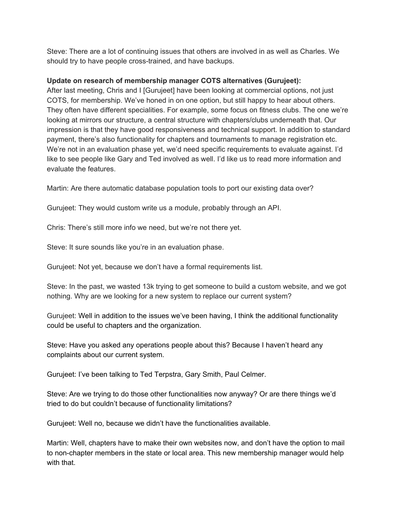Steve: There are a lot of continuing issues that others are involved in as well as Charles. We should try to have people cross-trained, and have backups.

## **Update on research of membership manager COTS alternatives (Gurujeet):**

After last meeting, Chris and I [Gurujeet] have been looking at commercial options, not just COTS, for membership. We've honed in on one option, but still happy to hear about others. They often have different specialities. For example, some focus on fitness clubs. The one we're looking at mirrors our structure, a central structure with chapters/clubs underneath that. Our impression is that they have good responsiveness and technical support. In addition to standard payment, there's also functionality for chapters and tournaments to manage registration etc. We're not in an evaluation phase yet, we'd need specific requirements to evaluate against. I'd like to see people like Gary and Ted involved as well. I'd like us to read more information and evaluate the features.

Martin: Are there automatic database population tools to port our existing data over?

Gurujeet: They would custom write us a module, probably through an API.

Chris: There's still more info we need, but we're not there yet.

Steve: It sure sounds like you're in an evaluation phase.

Gurujeet: Not yet, because we don't have a formal requirements list.

Steve: In the past, we wasted 13k trying to get someone to build a custom website, and we got nothing. Why are we looking for a new system to replace our current system?

Gurujeet: Well in addition to the issues we've been having, I think the additional functionality could be useful to chapters and the organization.

Steve: Have you asked any operations people about this? Because I haven't heard any complaints about our current system.

Gurujeet: I've been talking to Ted Terpstra, Gary Smith, Paul Celmer.

Steve: Are we trying to do those other functionalities now anyway? Or are there things we'd tried to do but couldn't because of functionality limitations?

Gurujeet: Well no, because we didn't have the functionalities available.

Martin: Well, chapters have to make their own websites now, and don't have the option to mail to non-chapter members in the state or local area. This new membership manager would help with that.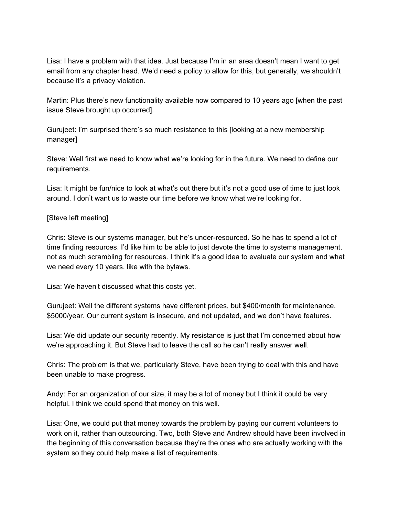Lisa: I have a problem with that idea. Just because I'm in an area doesn't mean I want to get email from any chapter head. We'd need a policy to allow for this, but generally, we shouldn't because it's a privacy violation.

Martin: Plus there's new functionality available now compared to 10 years ago [when the past issue Steve brought up occurred].

Gurujeet: I'm surprised there's so much resistance to this [looking at a new membership manager]

Steve: Well first we need to know what we're looking for in the future. We need to define our requirements.

Lisa: It might be fun/nice to look at what's out there but it's not a good use of time to just look around. I don't want us to waste our time before we know what we're looking for.

### [Steve left meeting]

Chris: Steve is our systems manager, but he's under-resourced. So he has to spend a lot of time finding resources. I'd like him to be able to just devote the time to systems management, not as much scrambling for resources. I think it's a good idea to evaluate our system and what we need every 10 years, like with the bylaws.

Lisa: We haven't discussed what this costs yet.

Gurujeet: Well the different systems have different prices, but \$400/month for maintenance. \$5000/year. Our current system is insecure, and not updated, and we don't have features.

Lisa: We did update our security recently. My resistance is just that I'm concerned about how we're approaching it. But Steve had to leave the call so he can't really answer well.

Chris: The problem is that we, particularly Steve, have been trying to deal with this and have been unable to make progress.

Andy: For an organization of our size, it may be a lot of money but I think it could be very helpful. I think we could spend that money on this well.

Lisa: One, we could put that money towards the problem by paying our current volunteers to work on it, rather than outsourcing. Two, both Steve and Andrew should have been involved in the beginning of this conversation because they're the ones who are actually working with the system so they could help make a list of requirements.